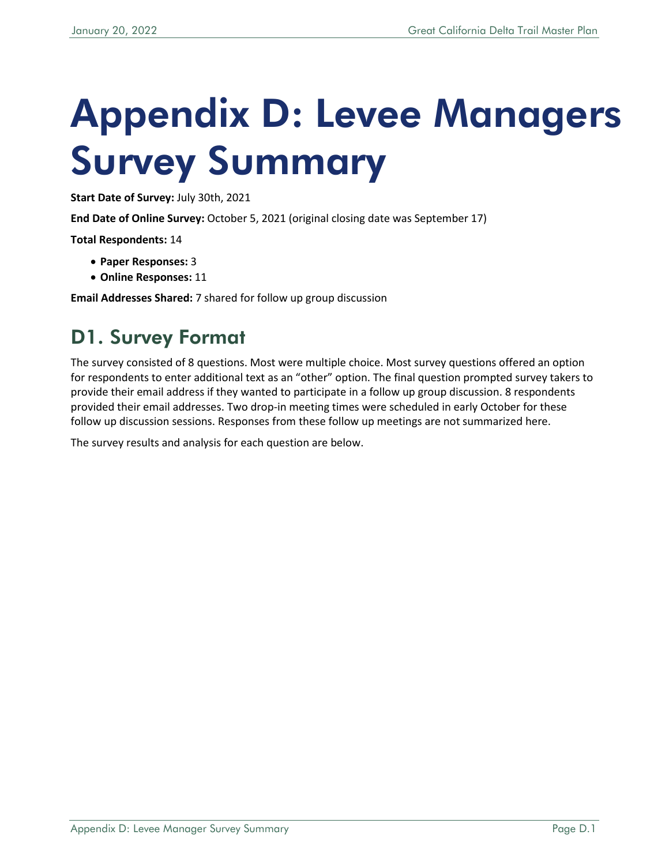# Appendix D: Levee Managers Survey Summary

**Start Date of Survey:** July 30th, 2021

**End Date of Online Survey:** October 5, 2021 (original closing date was September 17)

**Total Respondents:** 14

- **Paper Responses:** 3
- **Online Responses:** 11

**Email Addresses Shared:** 7 shared for follow up group discussion

## D1. Survey Format

The survey consisted of 8 questions. Most were multiple choice. Most survey questions offered an option for respondents to enter additional text as an "other" option. The final question prompted survey takers to provide their email address if they wanted to participate in a follow up group discussion. 8 respondents provided their email addresses. Two drop-in meeting times were scheduled in early October for these follow up discussion sessions. Responses from these follow up meetings are not summarized here.

The survey results and analysis for each question are below.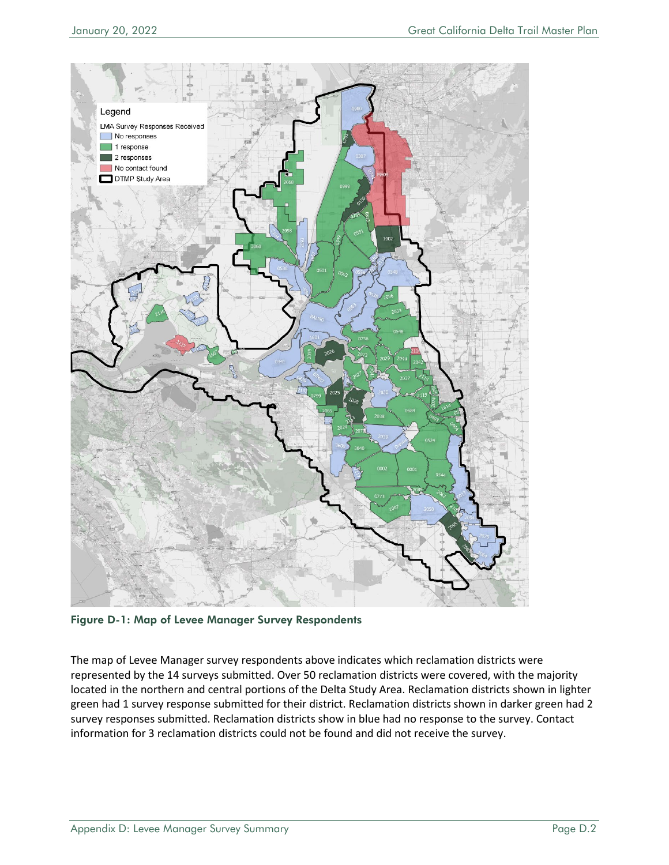

Figure D-1: Map of Levee Manager Survey Respondents

The map of Levee Manager survey respondents above indicates which reclamation districts were represented by the 14 surveys submitted. Over 50 reclamation districts were covered, with the majority located in the northern and central portions of the Delta Study Area. Reclamation districts shown in lighter green had 1 survey response submitted for their district. Reclamation districts shown in darker green had 2 survey responses submitted. Reclamation districts show in blue had no response to the survey. Contact information for 3 reclamation districts could not be found and did not receive the survey.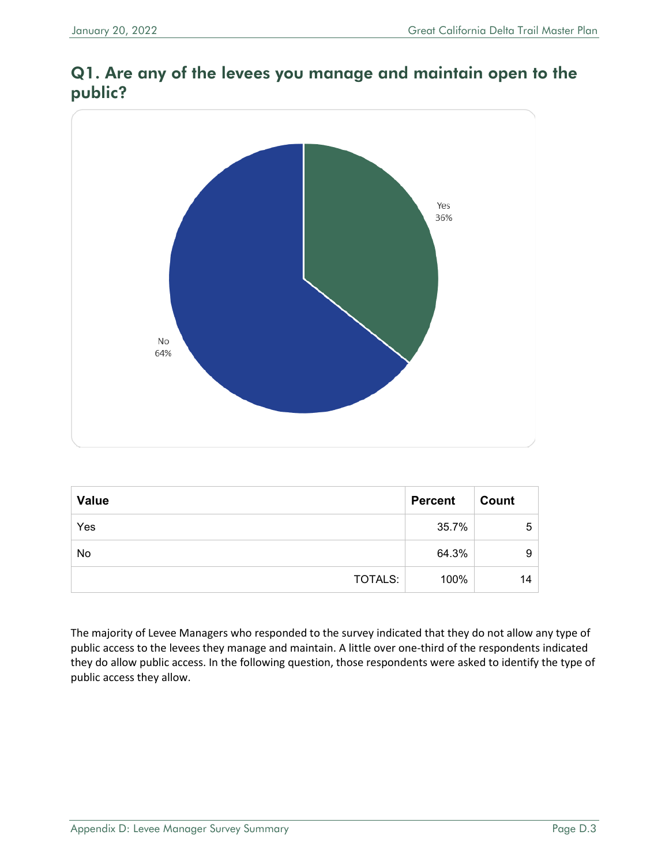## Q1. Are any of the levees you manage and maintain open to the public?



| <b>Value</b> | <b>Percent</b> | Count |
|--------------|----------------|-------|
| Yes          | 35.7%          | 5     |
| No           | 64.3%          | 9     |
| TOTALS:      | 100%           | 14    |

The majority of Levee Managers who responded to the survey indicated that they do not allow any type of public access to the levees they manage and maintain. A little over one-third of the respondents indicated they do allow public access. In the following question, those respondents were asked to identify the type of public access they allow.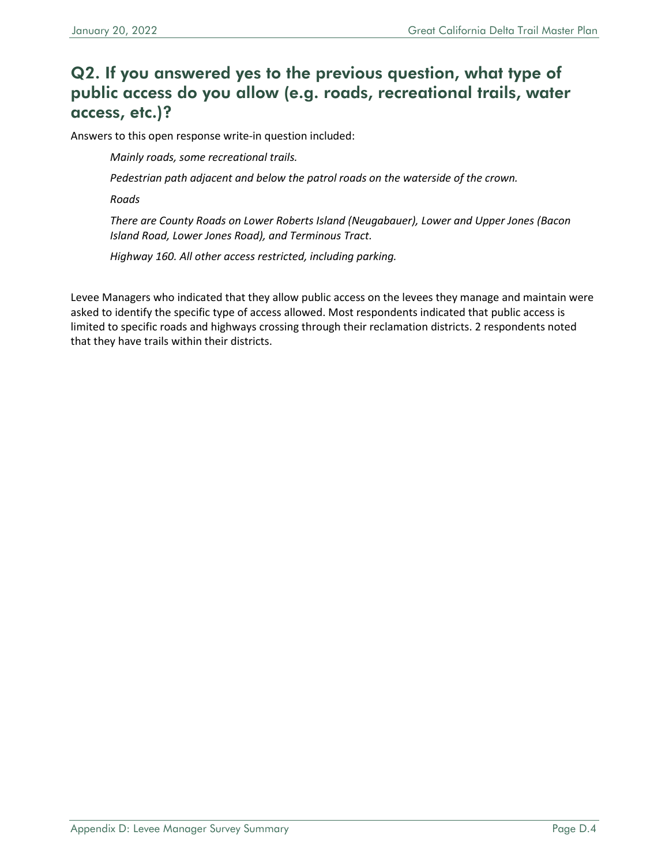## Q2. If you answered yes to the previous question, what type of public access do you allow (e.g. roads, recreational trails, water access, etc.)?

Answers to this open response write-in question included:

*Mainly roads, some recreational trails.*

*Pedestrian path adjacent and below the patrol roads on the waterside of the crown.*

*Roads*

*There are County Roads on Lower Roberts Island (Neugabauer), Lower and Upper Jones (Bacon Island Road, Lower Jones Road), and Terminous Tract.*

*Highway 160. All other access restricted, including parking.*

Levee Managers who indicated that they allow public access on the levees they manage and maintain were asked to identify the specific type of access allowed. Most respondents indicated that public access is limited to specific roads and highways crossing through their reclamation districts. 2 respondents noted that they have trails within their districts.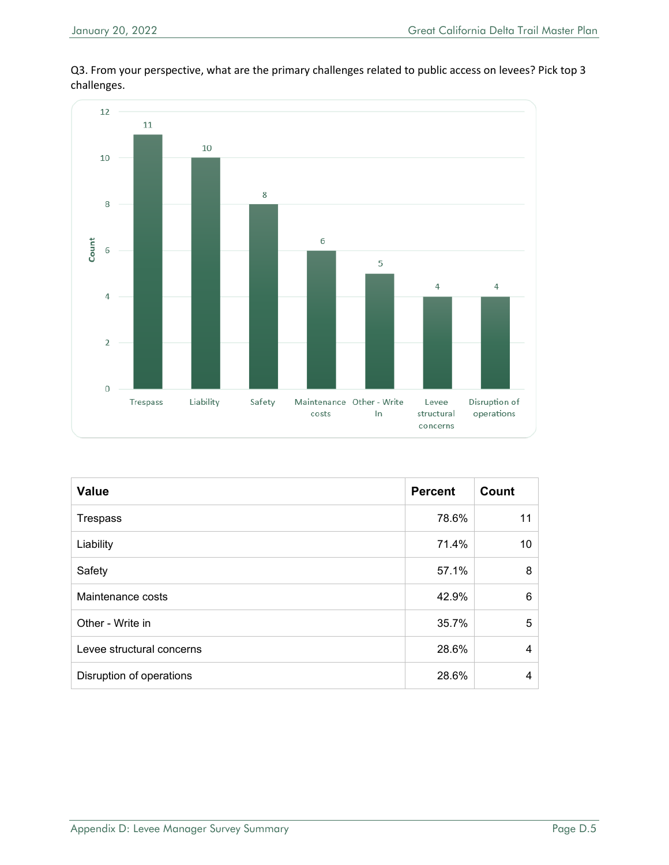

Q3. From your perspective, what are the primary challenges related to public access on levees? Pick top 3 challenges.

| <b>Value</b>              | <b>Percent</b> | Count |
|---------------------------|----------------|-------|
| <b>Trespass</b>           | 78.6%          | 11    |
| Liability                 | 71.4%          | 10    |
| Safety                    | 57.1%          | 8     |
| Maintenance costs         | 42.9%          | 6     |
| Other - Write in          | 35.7%          | 5     |
| Levee structural concerns | 28.6%          | 4     |
| Disruption of operations  | 28.6%          | 4     |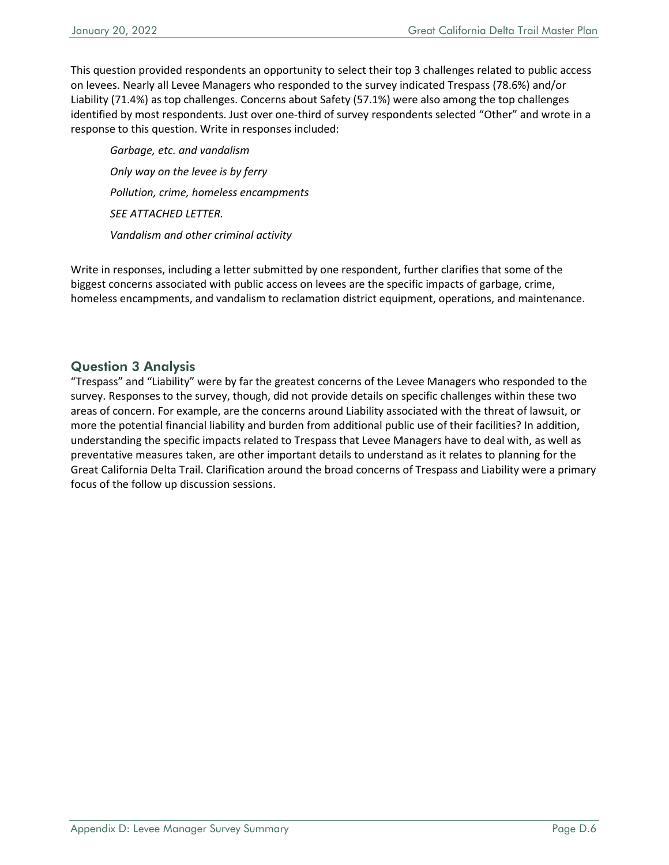This question provided respondents an opportunity to select their top 3 challenges related to public access on levees. Nearly all Levee Managers who responded to the survey indicated Trespass (78.6%) and/or Liability (71.4%) as top challenges. Concerns about Safety (57.1%) were also among the top challenges identified by most respondents. Just over one-third of survey respondents selected "Other" and wrote in a response to this question. Write in responses included:

*Garbage, etc. and vandalism Only way on the levee is by ferry Pollution, crime, homeless encampments SEE ATTACHED LETTER. Vandalism and other criminal activity*

Write in responses, including a letter submitted by one respondent, further clarifies that some of the biggest concerns associated with public access on levees are the specific impacts of garbage, crime, homeless encampments, and vandalism to reclamation district equipment, operations, and maintenance.

#### Question 3 Analysis

"Trespass" and "Liability" were by far the greatest concerns of the Levee Managers who responded to the survey. Responses to the survey, though, did not provide details on specific challenges within these two areas of concern. For example, are the concerns around Liability associated with the threat of lawsuit, or more the potential financial liability and burden from additional public use of their facilities? In addition, understanding the specific impacts related to Trespass that Levee Managers have to deal with, as well as preventative measures taken, are other important details to understand as it relates to planning for the Great California Delta Trail. Clarification around the broad concerns of Trespass and Liability were a primary focus of the follow up discussion sessions.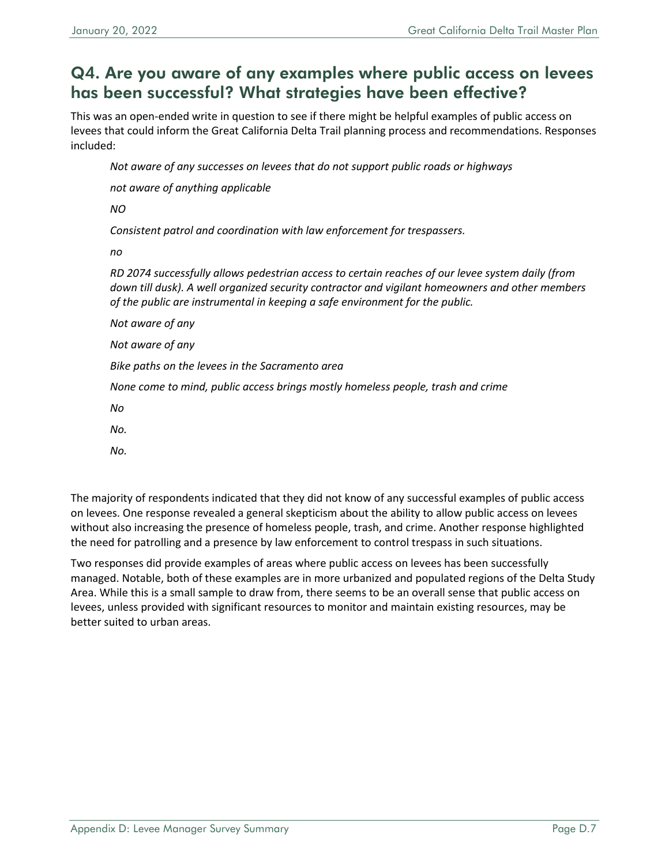### Q4. Are you aware of any examples where public access on levees has been successful? What strategies have been effective?

This was an open-ended write in question to see if there might be helpful examples of public access on levees that could inform the Great California Delta Trail planning process and recommendations. Responses included:

*Not aware of any successes on levees that do not support public roads or highways*

*not aware of anything applicable*

*NO*

*Consistent patrol and coordination with law enforcement for trespassers.*

*no*

*RD 2074 successfully allows pedestrian access to certain reaches of our levee system daily (from down till dusk). A well organized security contractor and vigilant homeowners and other members of the public are instrumental in keeping a safe environment for the public.*

*Not aware of any Not aware of any Bike paths on the levees in the Sacramento area None come to mind, public access brings mostly homeless people, trash and crime No*

*No.*

*No.*

The majority of respondents indicated that they did not know of any successful examples of public access on levees. One response revealed a general skepticism about the ability to allow public access on levees without also increasing the presence of homeless people, trash, and crime. Another response highlighted the need for patrolling and a presence by law enforcement to control trespass in such situations.

Two responses did provide examples of areas where public access on levees has been successfully managed. Notable, both of these examples are in more urbanized and populated regions of the Delta Study Area. While this is a small sample to draw from, there seems to be an overall sense that public access on levees, unless provided with significant resources to monitor and maintain existing resources, may be better suited to urban areas.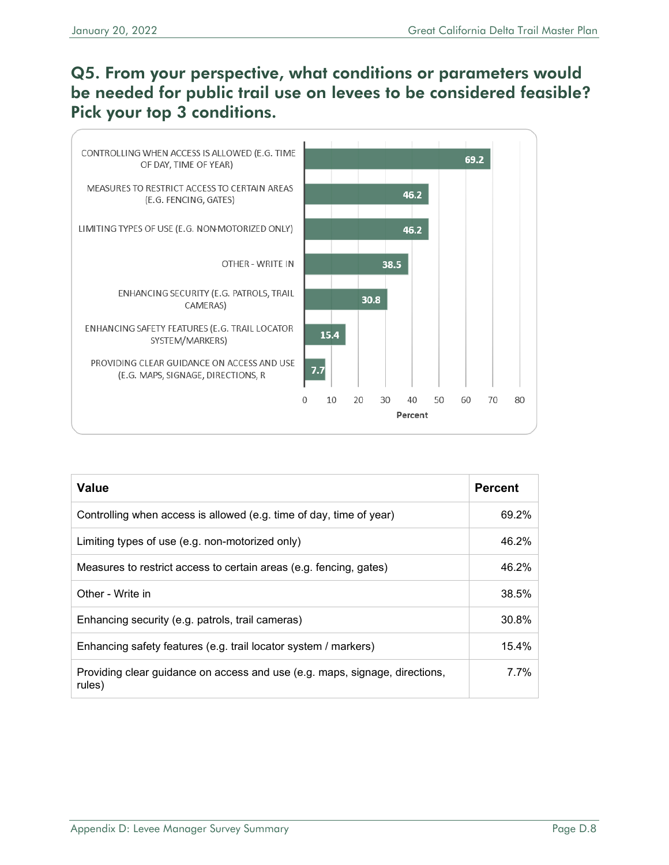## Q5. From your perspective, what conditions or parameters would be needed for public trail use on levees to be considered feasible? Pick your top 3 conditions.



| Value                                                                                 | <b>Percent</b> |
|---------------------------------------------------------------------------------------|----------------|
| Controlling when access is allowed (e.g. time of day, time of year)                   | 69.2%          |
| Limiting types of use (e.g. non-motorized only)                                       | 46.2%          |
| Measures to restrict access to certain areas (e.g. fencing, gates)                    | 46.2%          |
| Other - Write in                                                                      | 38.5%          |
| Enhancing security (e.g. patrols, trail cameras)                                      | 30.8%          |
| Enhancing safety features (e.g. trail locator system / markers)                       | 15.4%          |
| Providing clear guidance on access and use (e.g. maps, signage, directions,<br>rules) | 7.7%           |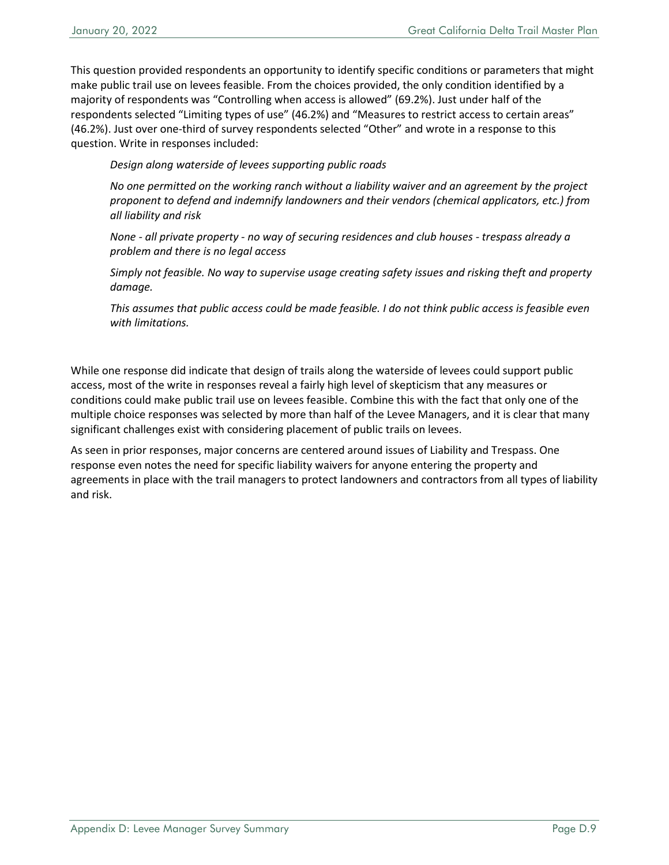This question provided respondents an opportunity to identify specific conditions or parameters that might make public trail use on levees feasible. From the choices provided, the only condition identified by a majority of respondents was "Controlling when access is allowed" (69.2%). Just under half of the respondents selected "Limiting types of use" (46.2%) and "Measures to restrict access to certain areas" (46.2%). Just over one-third of survey respondents selected "Other" and wrote in a response to this question. Write in responses included:

*Design along waterside of levees supporting public roads*

*No one permitted on the working ranch without a liability waiver and an agreement by the project proponent to defend and indemnify landowners and their vendors (chemical applicators, etc.) from all liability and risk*

*None - all private property - no way of securing residences and club houses - trespass already a problem and there is no legal access*

*Simply not feasible. No way to supervise usage creating safety issues and risking theft and property damage.*

*This assumes that public access could be made feasible. I do not think public access is feasible even with limitations.*

While one response did indicate that design of trails along the waterside of levees could support public access, most of the write in responses reveal a fairly high level of skepticism that any measures or conditions could make public trail use on levees feasible. Combine this with the fact that only one of the multiple choice responses was selected by more than half of the Levee Managers, and it is clear that many significant challenges exist with considering placement of public trails on levees.

As seen in prior responses, major concerns are centered around issues of Liability and Trespass. One response even notes the need for specific liability waivers for anyone entering the property and agreements in place with the trail managers to protect landowners and contractors from all types of liability and risk.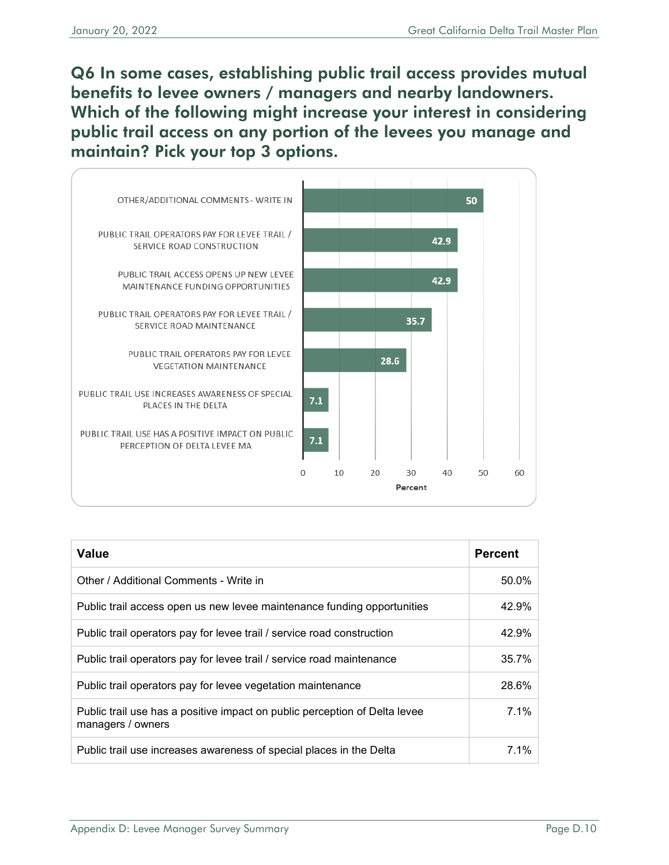Q6 In some cases, establishing public trail access provides mutual benefits to levee owners / managers and nearby landowners. Which of the following might increase your interest in considering public trail access on any portion of the levees you manage and maintain? Pick your top 3 options.



| <b>Value</b>                                                                                    | <b>Percent</b> |
|-------------------------------------------------------------------------------------------------|----------------|
| Other / Additional Comments - Write in                                                          | 50.0%          |
| Public trail access open us new levee maintenance funding opportunities                         | 42.9%          |
| Public trail operators pay for levee trail / service road construction                          | 42.9%          |
| Public trail operators pay for levee trail / service road maintenance                           | 35.7%          |
| Public trail operators pay for levee vegetation maintenance                                     | 28.6%          |
| Public trail use has a positive impact on public perception of Delta levee<br>managers / owners | 7.1%           |
| Public trail use increases awareness of special places in the Delta                             | $7.1\%$        |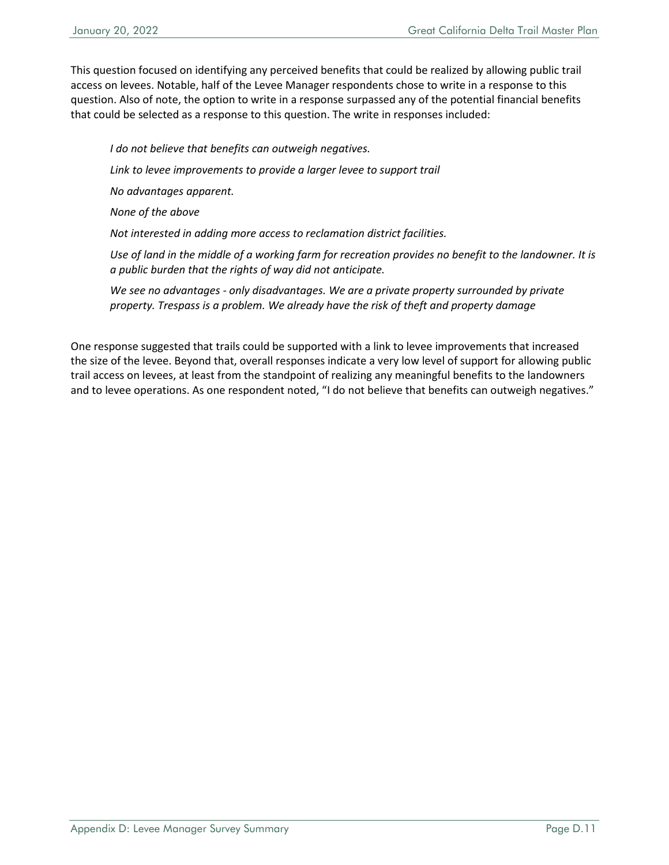This question focused on identifying any perceived benefits that could be realized by allowing public trail access on levees. Notable, half of the Levee Manager respondents chose to write in a response to this question. Also of note, the option to write in a response surpassed any of the potential financial benefits that could be selected as a response to this question. The write in responses included:

*I do not believe that benefits can outweigh negatives.*

*Link to levee improvements to provide a larger levee to support trail*

*No advantages apparent.*

*None of the above*

*Not interested in adding more access to reclamation district facilities.*

*Use of land in the middle of a working farm for recreation provides no benefit to the landowner. It is a public burden that the rights of way did not anticipate.*

*We see no advantages - only disadvantages. We are a private property surrounded by private property. Trespass is a problem. We already have the risk of theft and property damage*

One response suggested that trails could be supported with a link to levee improvements that increased the size of the levee. Beyond that, overall responses indicate a very low level of support for allowing public trail access on levees, at least from the standpoint of realizing any meaningful benefits to the landowners and to levee operations. As one respondent noted, "I do not believe that benefits can outweigh negatives."